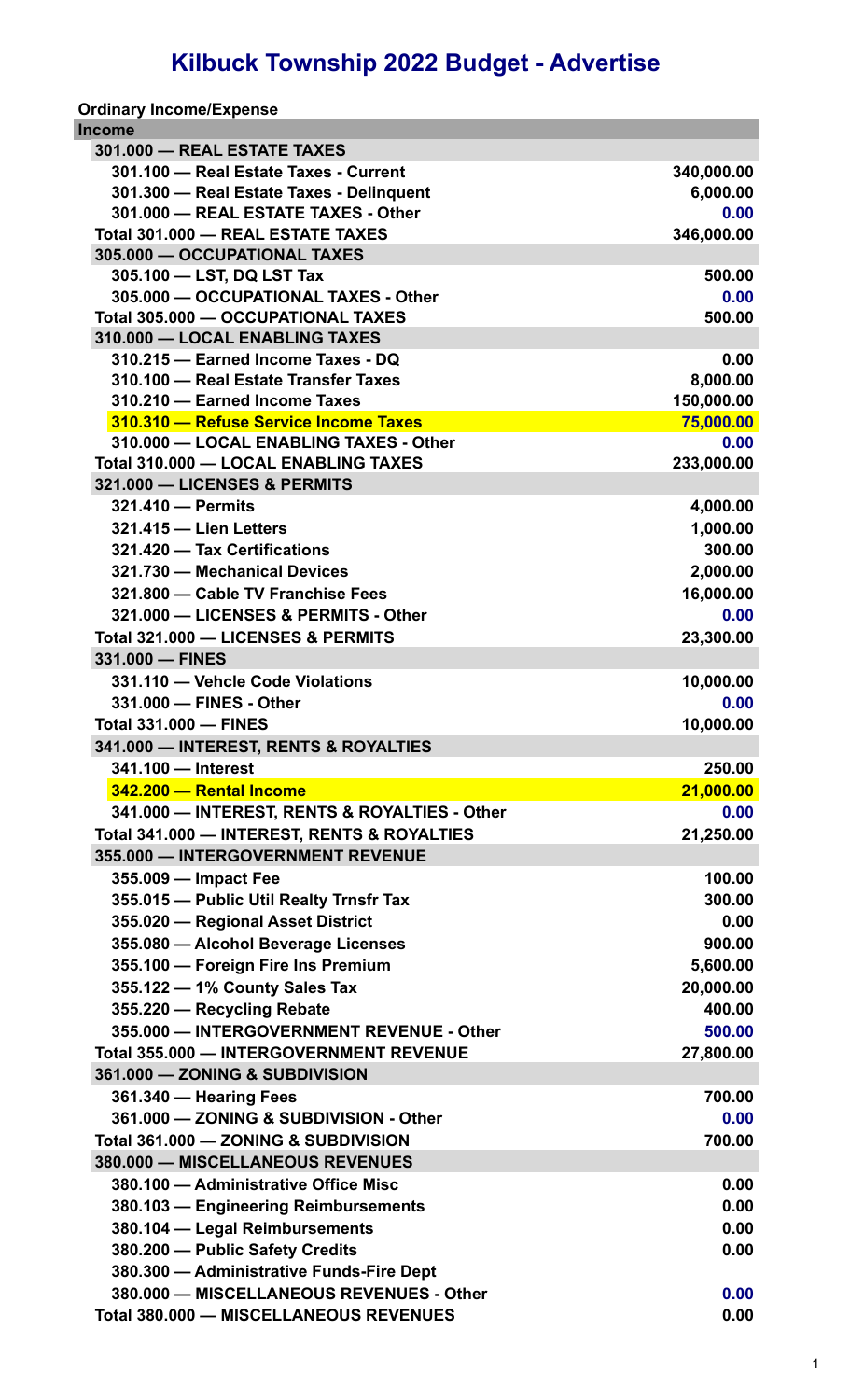## **Kilbuck Township 2022 Budget - Advertise**

| Income                                         |            |
|------------------------------------------------|------------|
| 301.000 - REAL ESTATE TAXES                    |            |
| 301.100 - Real Estate Taxes - Current          | 340,000.00 |
| 301.300 - Real Estate Taxes - Delinguent       | 6,000.00   |
| 301.000 - REAL ESTATE TAXES - Other            | 0.00       |
| Total 301.000 - REAL ESTATE TAXES              | 346,000.00 |
| 305.000 - OCCUPATIONAL TAXES                   |            |
| 305.100 - LST, DQ LST Tax                      | 500.00     |
| 305.000 - OCCUPATIONAL TAXES - Other           | 0.00       |
| Total 305.000 - OCCUPATIONAL TAXES             | 500.00     |
| 310.000 - LOCAL ENABLING TAXES                 |            |
| 310.215 - Earned Income Taxes - DQ             | 0.00       |
| 310.100 - Real Estate Transfer Taxes           | 8,000.00   |
| 310.210 - Earned Income Taxes                  | 150,000.00 |
| 310.310 - Refuse Service Income Taxes          | 75,000.00  |
| 310.000 - LOCAL ENABLING TAXES - Other         | 0.00       |
| Total 310.000 - LOCAL ENABLING TAXES           | 233,000.00 |
| 321.000 - LICENSES & PERMITS                   |            |
| 321.410 - Permits                              | 4,000.00   |
| 321.415 - Lien Letters                         | 1,000.00   |
| 321.420 - Tax Certifications                   | 300.00     |
| 321.730 - Mechanical Devices                   | 2,000.00   |
| 321.800 - Cable TV Franchise Fees              | 16,000.00  |
| 321.000 - LICENSES & PERMITS - Other           | 0.00       |
| Total 321.000 - LICENSES & PERMITS             | 23,300.00  |
| 331.000 - FINES                                |            |
| 331.110 - Vehcle Code Violations               | 10,000.00  |
| 331.000 - FINES - Other                        | 0.00       |
| <b>Total 331.000 - FINES</b>                   | 10,000.00  |
| 341.000 - INTEREST, RENTS & ROYALTIES          |            |
| 341.100 - Interest                             | 250.00     |
| 342.200 - Rental Income                        | 21,000.00  |
| 341.000 - INTEREST, RENTS & ROYALTIES - Other  | 0.00       |
| Total 341.000 - INTEREST, RENTS & ROYALTIES    | 21,250.00  |
| 355.000 - INTERGOVERNMENT REVENUE              |            |
| 355.009 - Impact Fee                           | 100.00     |
| 355.015 - Public Util Realty Trnsfr Tax        | 300.00     |
| 355.020 - Regional Asset District              | 0.00       |
| 355.080 - Alcohol Beverage Licenses            | 900.00     |
| 355.100 - Foreign Fire Ins Premium             | 5,600.00   |
| 355.122 - 1% County Sales Tax                  | 20,000.00  |
| 355.220 - Recycling Rebate                     | 400.00     |
| 355.000 - INTERGOVERNMENT REVENUE - Other      | 500.00     |
| <b>Total 355.000 - INTERGOVERNMENT REVENUE</b> | 27,800.00  |
| 361.000 - ZONING & SUBDIVISION                 |            |
|                                                |            |
| 361.340 - Hearing Fees                         | 700.00     |
| 361.000 - ZONING & SUBDIVISION - Other         | 0.00       |
| Total 361.000 - ZONING & SUBDIVISION           | 700.00     |
| 380.000 - MISCELLANEOUS REVENUES               |            |
| 380.100 - Administrative Office Misc           | 0.00       |
| 380.103 - Engineering Reimbursements           | 0.00       |
| 380.104 - Legal Reimbursements                 | 0.00       |
| 380.200 - Public Safety Credits                | 0.00       |
| 380.300 - Administrative Funds-Fire Dept       |            |
| 380.000 - MISCELLANEOUS REVENUES - Other       | 0.00       |
| <b>Total 380.000 - MISCELLANEOUS REVENUES</b>  | 0.00       |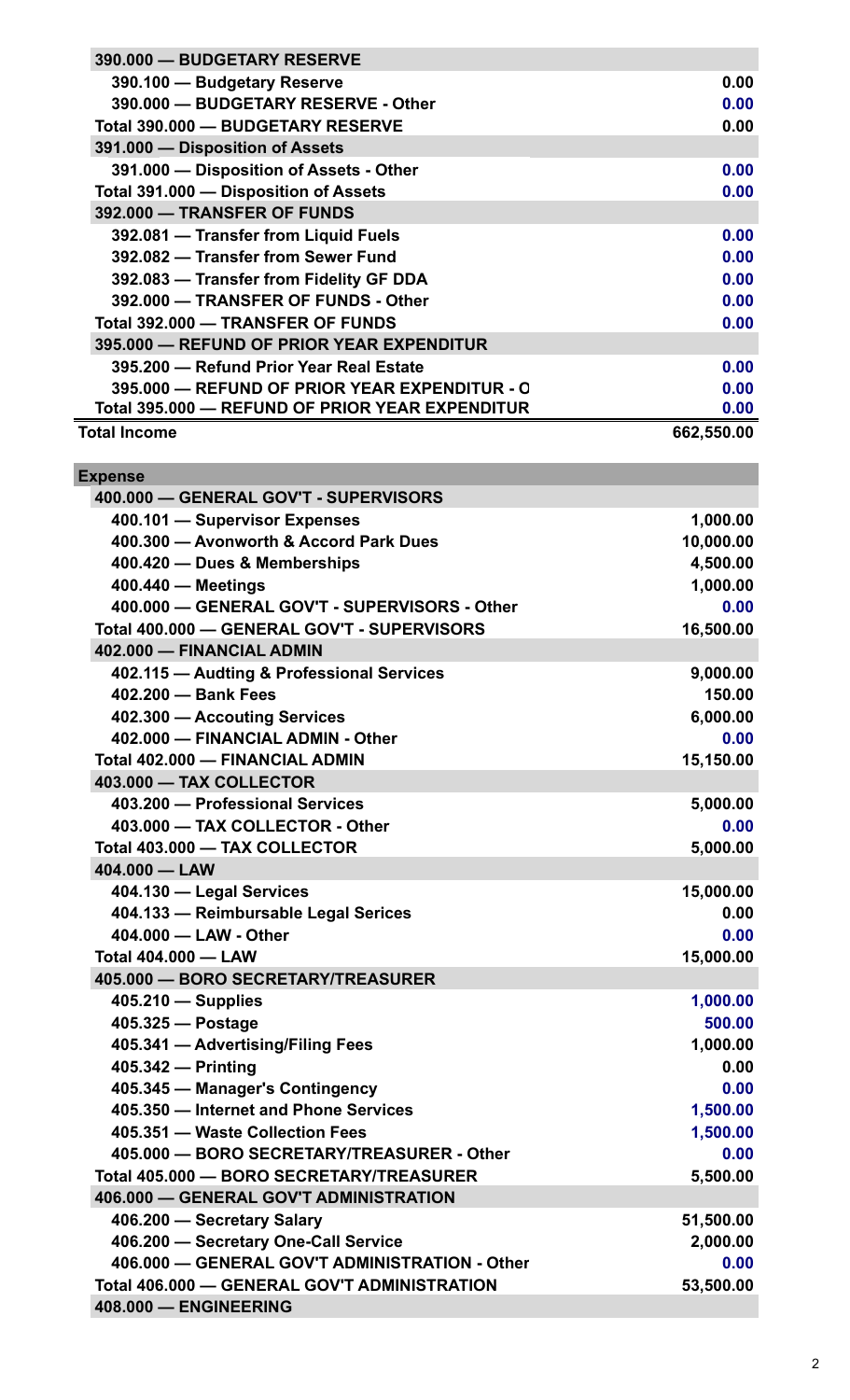| 390.000 - BUDGETARY RESERVE                     |            |
|-------------------------------------------------|------------|
| 390.100 - Budgetary Reserve                     | 0.00       |
| 390.000 - BUDGETARY RESERVE - Other             | 0.00       |
| Total 390.000 - BUDGETARY RESERVE               | 0.00       |
| 391.000 - Disposition of Assets                 |            |
| 391.000 - Disposition of Assets - Other         | 0.00       |
| Total 391.000 - Disposition of Assets           | 0.00       |
| 392.000 - TRANSFER OF FUNDS                     |            |
| 392.081 - Transfer from Liquid Fuels            | 0.00       |
| 392.082 - Transfer from Sewer Fund              | 0.00       |
| 392.083 - Transfer from Fidelity GF DDA         | 0.00       |
| 392.000 - TRANSFER OF FUNDS - Other             | 0.00       |
| Total 392.000 - TRANSFER OF FUNDS               | 0.00       |
| 395.000 - REFUND OF PRIOR YEAR EXPENDITUR       |            |
| 395.200 - Refund Prior Year Real Estate         | 0.00       |
| 395,000 - REFUND OF PRIOR YEAR EXPENDITUR - O   | 0.00       |
| Total 395.000 - REFUND OF PRIOR YEAR EXPENDITUR | 0.00       |
| <b>Total Income</b>                             | 662,550.00 |
|                                                 |            |
| <b>Expense</b>                                  |            |
| 400.000 - GENERAL GOV'T - SUPERVISORS           |            |
| 400.101 - Supervisor Expenses                   | 1,000.00   |
| 400.300 - Avonworth & Accord Park Dues          | 10,000.00  |
| 400.420 - Dues & Memberships                    | 4,500.00   |
| 400.440 - Meetings                              | 1,000.00   |
| 400.000 - GENERAL GOV'T - SUPERVISORS - Other   | 0.00       |
| Total 400.000 - GENERAL GOV'T - SUPERVISORS     | 16,500.00  |
| 402.000 - FINANCIAL ADMIN                       |            |
|                                                 |            |
| 402.115 - Audting & Professional Services       | 9,000.00   |
| 402.200 - Bank Fees                             | 150.00     |
| 402.300 - Accouting Services                    | 6,000.00   |
| 402.000 - FINANCIAL ADMIN - Other               | 0.00       |
| Total 402.000 - FINANCIAL ADMIN                 | 15,150.00  |
| 403.000 - TAX COLLECTOR                         |            |
| 403.200 - Professional Services                 | 5,000.00   |
| 403.000 - TAX COLLECTOR - Other                 | 0.00       |
| Total 403.000 - TAX COLLECTOR                   | 5,000.00   |
| 404.000 - LAW                                   |            |
| 404.130 - Legal Services                        | 15,000.00  |
| 404.133 - Reimbursable Legal Serices            | 0.00       |
| 404.000 - LAW - Other                           | 0.00       |
| <b>Total 404.000 - LAW</b>                      | 15,000.00  |
| 405.000 - BORO SECRETARY/TREASURER              |            |
| $405.210$ - Supplies                            | 1,000.00   |
| 405.325 - Postage                               | 500.00     |
| 405.341 - Advertising/Filing Fees               | 1,000.00   |
| 405.342 - Printing                              | 0.00       |
| 405.345 - Manager's Contingency                 | 0.00       |
| 405.350 - Internet and Phone Services           | 1,500.00   |
| 405.351 - Waste Collection Fees                 | 1,500.00   |
| 405.000 - BORO SECRETARY/TREASURER - Other      | 0.00       |
| Total 405.000 - BORO SECRETARY/TREASURER        | 5,500.00   |
| 406.000 - GENERAL GOV'T ADMINISTRATION          |            |
| 406.200 - Secretary Salary                      | 51,500.00  |
| 406.200 - Secretary One-Call Service            | 2,000.00   |
| 406.000 - GENERAL GOV'T ADMINISTRATION - Other  | 0.00       |
| Total 406.000 - GENERAL GOV'T ADMINISTRATION    | 53,500.00  |
| 408.000 - ENGINEERING                           |            |
|                                                 |            |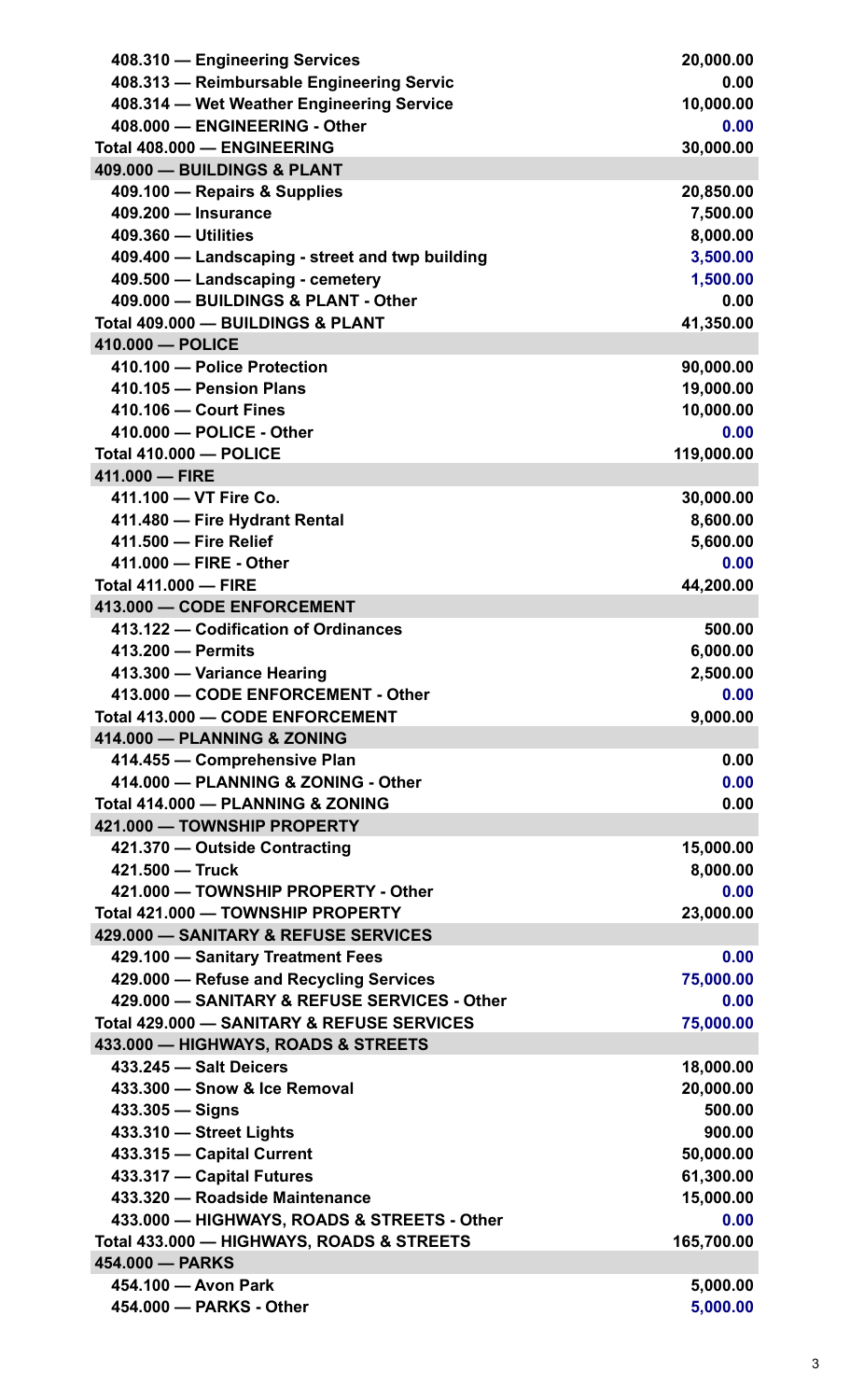| 408.310 - Engineering Services                  | 20,000.00            |
|-------------------------------------------------|----------------------|
| 408.313 - Reimbursable Engineering Servic       | 0.00                 |
| 408.314 - Wet Weather Engineering Service       | 10,000.00            |
| 408.000 - ENGINEERING - Other                   | 0.00                 |
| Total 408.000 - ENGINEERING                     | 30,000.00            |
| 409.000 - BUILDINGS & PLANT                     |                      |
| 409.100 - Repairs & Supplies                    | 20,850.00            |
| 409.200 - Insurance                             | 7,500.00             |
| 409.360 - Utilities                             | 8,000.00             |
| 409.400 - Landscaping - street and twp building | 3,500.00             |
| 409.500 - Landscaping - cemetery                | 1,500.00             |
| 409.000 - BUILDINGS & PLANT - Other             | 0.00                 |
| Total 409.000 - BUILDINGS & PLANT               | 41,350.00            |
| 410.000 - POLICE                                |                      |
| 410.100 - Police Protection                     | 90,000.00            |
| 410.105 - Pension Plans                         | 19,000.00            |
| 410.106 - Court Fines                           | 10,000.00            |
| 410.000 - POLICE - Other                        | 0.00                 |
| <b>Total 410.000 - POLICE</b>                   | 119,000.00           |
| 411.000 - FIRE                                  |                      |
| 411.100 - VT Fire Co.                           | 30,000.00            |
| 411.480 - Fire Hydrant Rental                   | 8,600.00             |
| 411.500 - Fire Relief                           | 5,600.00             |
| 411.000 - FIRE - Other                          | 0.00                 |
| <b>Total 411.000 - FIRE</b>                     | 44,200.00            |
| 413.000 - CODE ENFORCEMENT                      |                      |
| 413.122 - Codification of Ordinances            | 500.00               |
| 413.200 - Permits                               | 6,000.00             |
| 413.300 - Variance Hearing                      | 2,500.00             |
| 413.000 - CODE ENFORCEMENT - Other              | 0.00                 |
| Total 413,000 - CODE ENFORCEMENT                | 9,000.00             |
| 414.000 - PLANNING & ZONING                     |                      |
| 414.455 - Comprehensive Plan                    | 0.00                 |
| 414.000 - PLANNING & ZONING - Other             | 0.00                 |
| Total 414.000 - PLANNING & ZONING               | 0.00                 |
| 421.000 - TOWNSHIP PROPERTY                     |                      |
| 421.370 - Outside Contracting                   | 15,000.00            |
| 421.500 - Truck                                 | 8,000.00             |
| 421.000 - TOWNSHIP PROPERTY - Other             | 0.00                 |
| Total 421.000 - TOWNSHIP PROPERTY               | 23,000.00            |
| 429.000 - SANITARY & REFUSE SERVICES            |                      |
| 429.100 - Sanitary Treatment Fees               | 0.00                 |
|                                                 |                      |
| 429.000 - Refuse and Recycling Services         | 75,000.00            |
| 429.000 - SANITARY & REFUSE SERVICES - Other    | 0.00                 |
| Total 429.000 - SANITARY & REFUSE SERVICES      | 75,000.00            |
| 433.000 - HIGHWAYS, ROADS & STREETS             |                      |
| 433.245 - Salt Deicers                          | 18,000.00            |
| 433.300 - Snow & Ice Removal                    | 20,000.00            |
| $433.305 -$ Signs                               | 500.00               |
| 433.310 - Street Lights                         | 900.00               |
| 433.315 - Capital Current                       | 50,000.00            |
| 433.317 - Capital Futures                       | 61,300.00            |
| 433.320 - Roadside Maintenance                  | 15,000.00            |
| 433.000 - HIGHWAYS, ROADS & STREETS - Other     | 0.00                 |
| Total 433.000 - HIGHWAYS, ROADS & STREETS       | 165,700.00           |
| 454.000 - PARKS                                 |                      |
| 454.100 - Avon Park<br>454.000 - PARKS - Other  | 5,000.00<br>5,000.00 |